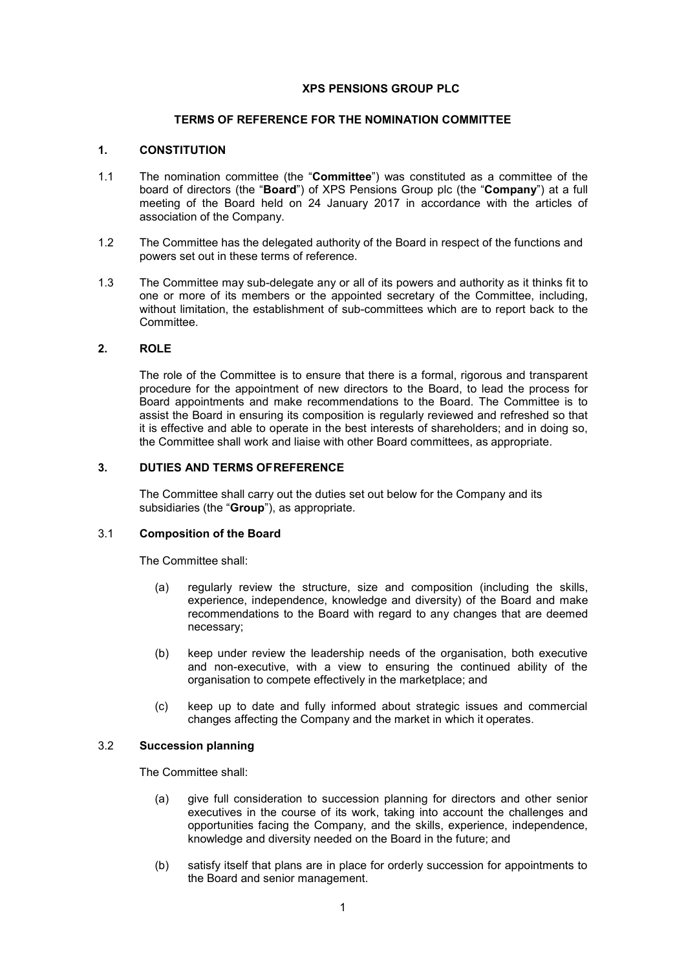### **XPS PENSIONS GROUP PLC**

### **TERMS OF REFERENCE FOR THE NOMINATION COMMITTEE**

#### **1. CONSTITUTION**

- 1.1 The nomination committee (the "**Committee**") was constituted as a committee of the board of directors (the "**Board**") of XPS Pensions Group plc (the "**Company**") at a full meeting of the Board held on 24 January 2017 in accordance with the articles of association of the Company.
- 1.2 The Committee has the delegated authority of the Board in respect of the functions and powers set out in these terms of reference.
- 1.3 The Committee may sub-delegate any or all of its powers and authority as it thinks fit to one or more of its members or the appointed secretary of the Committee, including, without limitation, the establishment of sub-committees which are to report back to the Committee.

### **2. ROLE**

The role of the Committee is to ensure that there is a formal, rigorous and transparent procedure for the appointment of new directors to the Board, to lead the process for Board appointments and make recommendations to the Board. The Committee is to assist the Board in ensuring its composition is regularly reviewed and refreshed so that it is effective and able to operate in the best interests of shareholders; and in doing so, the Committee shall work and liaise with other Board committees, as appropriate.

# **3. DUTIES AND TERMS OFREFERENCE**

The Committee shall carry out the duties set out below for the Company and its subsidiaries (the "**Group**"), as appropriate.

#### 3.1 **Composition of the Board**

The Committee shall:

- (a) regularly review the structure, size and composition (including the skills, experience, independence, knowledge and diversity) of the Board and make recommendations to the Board with regard to any changes that are deemed necessary;
- (b) keep under review the leadership needs of the organisation, both executive and non-executive, with a view to ensuring the continued ability of the organisation to compete effectively in the marketplace; and
- (c) keep up to date and fully informed about strategic issues and commercial changes affecting the Company and the market in which it operates.

### 3.2 **Succession planning**

The Committee shall:

- (a) give full consideration to succession planning for directors and other senior executives in the course of its work, taking into account the challenges and opportunities facing the Company, and the skills, experience, independence, knowledge and diversity needed on the Board in the future; and
- (b) satisfy itself that plans are in place for orderly succession for appointments to the Board and senior management.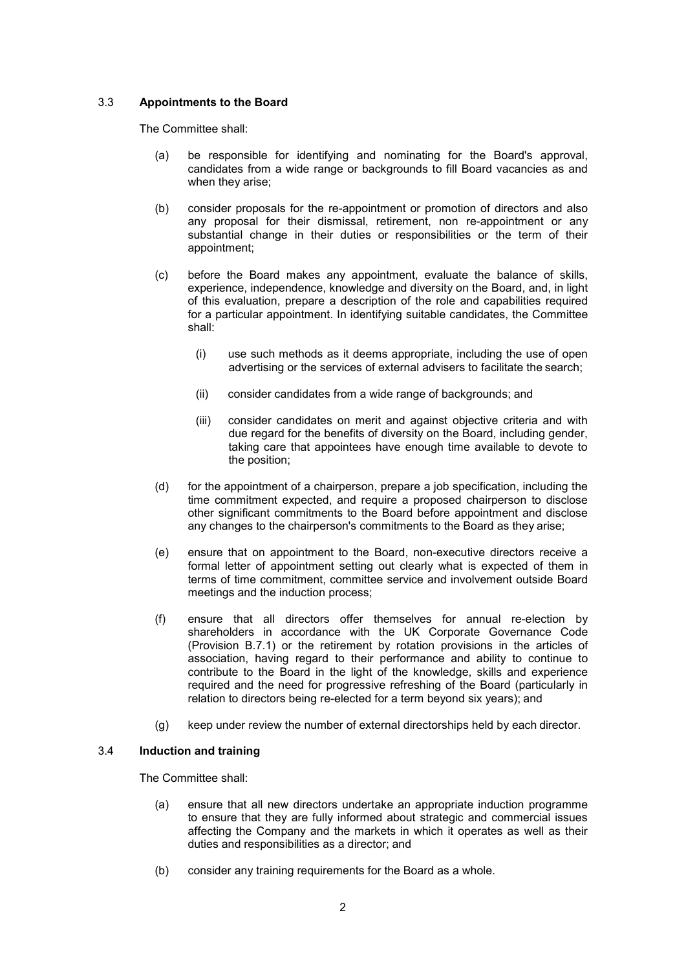### 3.3 **Appointments to the Board**

The Committee shall:

- (a) be responsible for identifying and nominating for the Board's approval, candidates from a wide range or backgrounds to fill Board vacancies as and when they arise;
- (b) consider proposals for the re-appointment or promotion of directors and also any proposal for their dismissal, retirement, non re-appointment or any substantial change in their duties or responsibilities or the term of their appointment;
- (c) before the Board makes any appointment, evaluate the balance of skills, experience, independence, knowledge and diversity on the Board, and, in light of this evaluation, prepare a description of the role and capabilities required for a particular appointment. In identifying suitable candidates, the Committee shall:
	- (i) use such methods as it deems appropriate, including the use of open advertising or the services of external advisers to facilitate the search;
	- (ii) consider candidates from a wide range of backgrounds; and
	- (iii) consider candidates on merit and against objective criteria and with due regard for the benefits of diversity on the Board, including gender, taking care that appointees have enough time available to devote to the position;
- (d) for the appointment of a chairperson, prepare a job specification, including the time commitment expected, and require a proposed chairperson to disclose other significant commitments to the Board before appointment and disclose any changes to the chairperson's commitments to the Board as they arise;
- (e) ensure that on appointment to the Board, non-executive directors receive a formal letter of appointment setting out clearly what is expected of them in terms of time commitment, committee service and involvement outside Board meetings and the induction process;
- (f) ensure that all directors offer themselves for annual re-election by shareholders in accordance with the UK Corporate Governance Code (Provision B.7.1) or the retirement by rotation provisions in the articles of association, having regard to their performance and ability to continue to contribute to the Board in the light of the knowledge, skills and experience required and the need for progressive refreshing of the Board (particularly in relation to directors being re-elected for a term beyond six years); and
- (g) keep under review the number of external directorships held by each director.

### 3.4 **Induction and training**

The Committee shall:

- (a) ensure that all new directors undertake an appropriate induction programme to ensure that they are fully informed about strategic and commercial issues affecting the Company and the markets in which it operates as well as their duties and responsibilities as a director; and
- (b) consider any training requirements for the Board as a whole.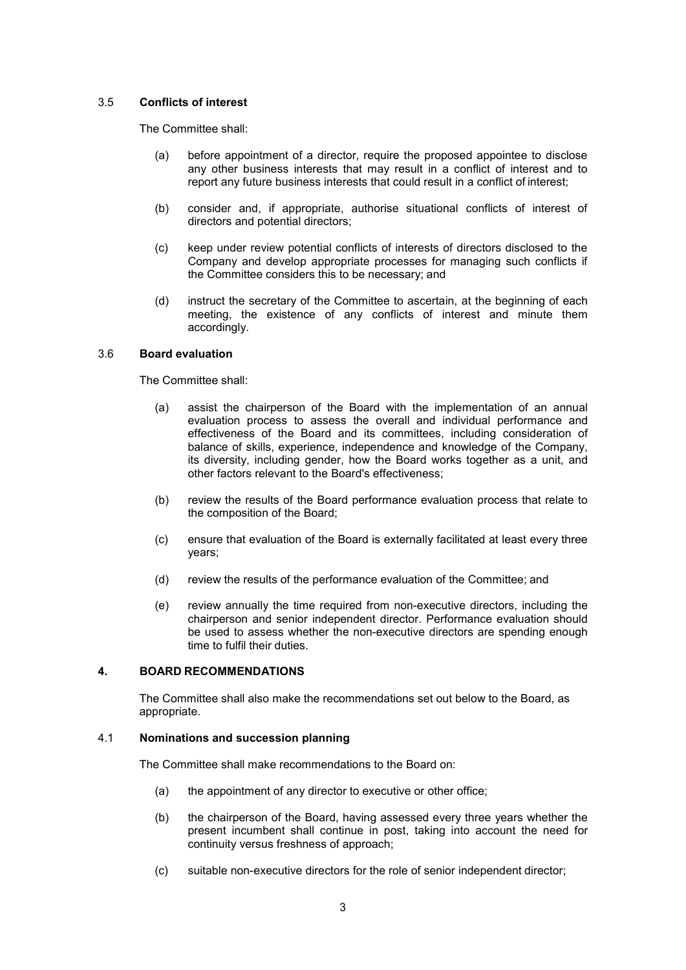### 3.5 **Conflicts of interest**

The Committee shall:

- (a) before appointment of a director, require the proposed appointee to disclose any other business interests that may result in a conflict of interest and to report any future business interests that could result in a conflict of interest;
- (b) consider and, if appropriate, authorise situational conflicts of interest of directors and potential directors;
- (c) keep under review potential conflicts of interests of directors disclosed to the Company and develop appropriate processes for managing such conflicts if the Committee considers this to be necessary; and
- (d) instruct the secretary of the Committee to ascertain, at the beginning of each meeting, the existence of any conflicts of interest and minute them accordingly.

### 3.6 **Board evaluation**

The Committee shall:

- (a) assist the chairperson of the Board with the implementation of an annual evaluation process to assess the overall and individual performance and effectiveness of the Board and its committees, including consideration of balance of skills, experience, independence and knowledge of the Company, its diversity, including gender, how the Board works together as a unit, and other factors relevant to the Board's effectiveness;
- (b) review the results of the Board performance evaluation process that relate to the composition of the Board;
- (c) ensure that evaluation of the Board is externally facilitated at least every three years;
- (d) review the results of the performance evaluation of the Committee; and
- (e) review annually the time required from non-executive directors, including the chairperson and senior independent director. Performance evaluation should be used to assess whether the non-executive directors are spending enough time to fulfil their duties.

# **4. BOARD RECOMMENDATIONS**

The Committee shall also make the recommendations set out below to the Board, as appropriate.

#### 4.1 **Nominations and succession planning**

The Committee shall make recommendations to the Board on:

- (a) the appointment of any director to executive or other office;
- (b) the chairperson of the Board, having assessed every three years whether the present incumbent shall continue in post, taking into account the need for continuity versus freshness of approach;
- (c) suitable non-executive directors for the role of senior independent director;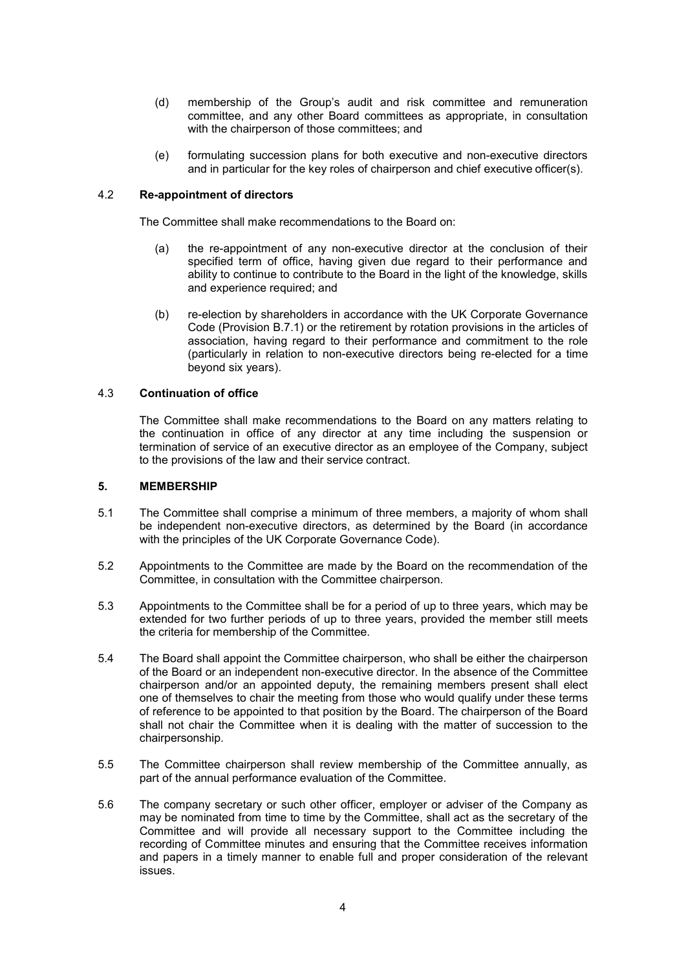- (d) membership of the Group's audit and risk committee and remuneration committee, and any other Board committees as appropriate, in consultation with the chairperson of those committees; and
- (e) formulating succession plans for both executive and non-executive directors and in particular for the key roles of chairperson and chief executive officer(s).

#### 4.2 **Re-appointment of directors**

The Committee shall make recommendations to the Board on:

- (a) the re-appointment of any non-executive director at the conclusion of their specified term of office, having given due regard to their performance and ability to continue to contribute to the Board in the light of the knowledge, skills and experience required; and
- (b) re-election by shareholders in accordance with the UK Corporate Governance Code (Provision B.7.1) or the retirement by rotation provisions in the articles of association, having regard to their performance and commitment to the role (particularly in relation to non-executive directors being re-elected for a time beyond six years).

#### 4.3 **Continuation of office**

The Committee shall make recommendations to the Board on any matters relating to the continuation in office of any director at any time including the suspension or termination of service of an executive director as an employee of the Company, subject to the provisions of the law and their service contract.

#### **5. MEMBERSHIP**

- 5.1 The Committee shall comprise a minimum of three members, a majority of whom shall be independent non-executive directors, as determined by the Board (in accordance with the principles of the UK Corporate Governance Code).
- 5.2 Appointments to the Committee are made by the Board on the recommendation of the Committee, in consultation with the Committee chairperson.
- 5.3 Appointments to the Committee shall be for a period of up to three years, which may be extended for two further periods of up to three years, provided the member still meets the criteria for membership of the Committee.
- 5.4 The Board shall appoint the Committee chairperson, who shall be either the chairperson of the Board or an independent non-executive director. In the absence of the Committee chairperson and/or an appointed deputy, the remaining members present shall elect one of themselves to chair the meeting from those who would qualify under these terms of reference to be appointed to that position by the Board. The chairperson of the Board shall not chair the Committee when it is dealing with the matter of succession to the chairpersonship.
- 5.5 The Committee chairperson shall review membership of the Committee annually, as part of the annual performance evaluation of the Committee.
- 5.6 The company secretary or such other officer, employer or adviser of the Company as may be nominated from time to time by the Committee, shall act as the secretary of the Committee and will provide all necessary support to the Committee including the recording of Committee minutes and ensuring that the Committee receives information and papers in a timely manner to enable full and proper consideration of the relevant issues.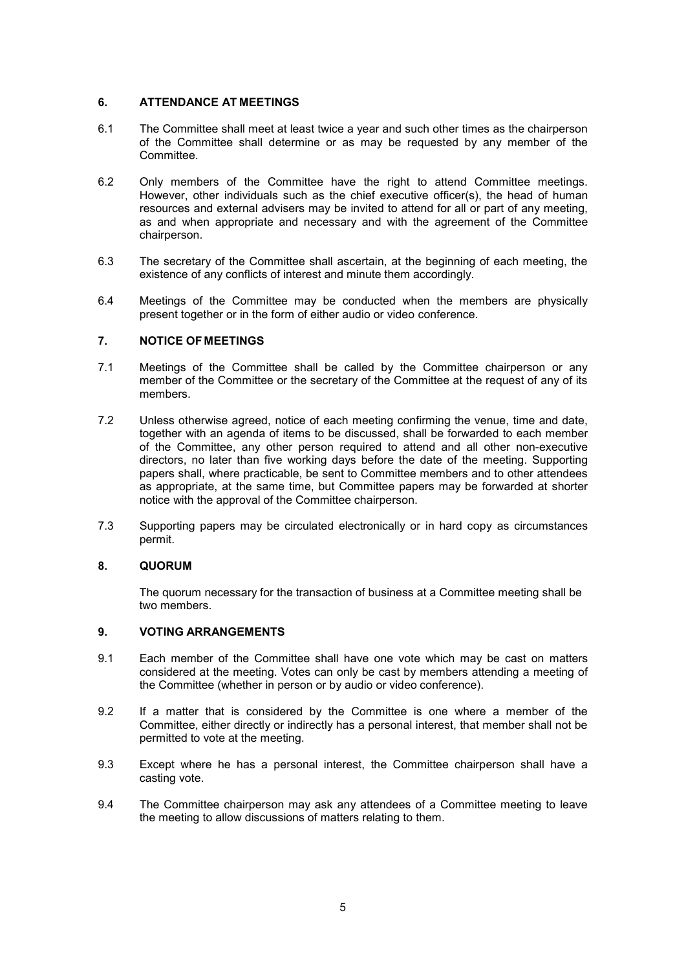### **6. ATTENDANCE AT MEETINGS**

- 6.1 The Committee shall meet at least twice a year and such other times as the chairperson of the Committee shall determine or as may be requested by any member of the Committee.
- 6.2 Only members of the Committee have the right to attend Committee meetings. However, other individuals such as the chief executive officer(s), the head of human resources and external advisers may be invited to attend for all or part of any meeting, as and when appropriate and necessary and with the agreement of the Committee chairperson.
- 6.3 The secretary of the Committee shall ascertain, at the beginning of each meeting, the existence of any conflicts of interest and minute them accordingly.
- 6.4 Meetings of the Committee may be conducted when the members are physically present together or in the form of either audio or video conference.

### **7. NOTICE OF MEETINGS**

- 7.1 Meetings of the Committee shall be called by the Committee chairperson or any member of the Committee or the secretary of the Committee at the request of any of its members.
- 7.2 Unless otherwise agreed, notice of each meeting confirming the venue, time and date, together with an agenda of items to be discussed, shall be forwarded to each member of the Committee, any other person required to attend and all other non-executive directors, no later than five working days before the date of the meeting. Supporting papers shall, where practicable, be sent to Committee members and to other attendees as appropriate, at the same time, but Committee papers may be forwarded at shorter notice with the approval of the Committee chairperson.
- 7.3 Supporting papers may be circulated electronically or in hard copy as circumstances permit.

### **8. QUORUM**

The quorum necessary for the transaction of business at a Committee meeting shall be two members.

#### **9. VOTING ARRANGEMENTS**

- 9.1 Each member of the Committee shall have one vote which may be cast on matters considered at the meeting. Votes can only be cast by members attending a meeting of the Committee (whether in person or by audio or video conference).
- 9.2 If a matter that is considered by the Committee is one where a member of the Committee, either directly or indirectly has a personal interest, that member shall not be permitted to vote at the meeting.
- 9.3 Except where he has a personal interest, the Committee chairperson shall have a casting vote.
- 9.4 The Committee chairperson may ask any attendees of a Committee meeting to leave the meeting to allow discussions of matters relating to them.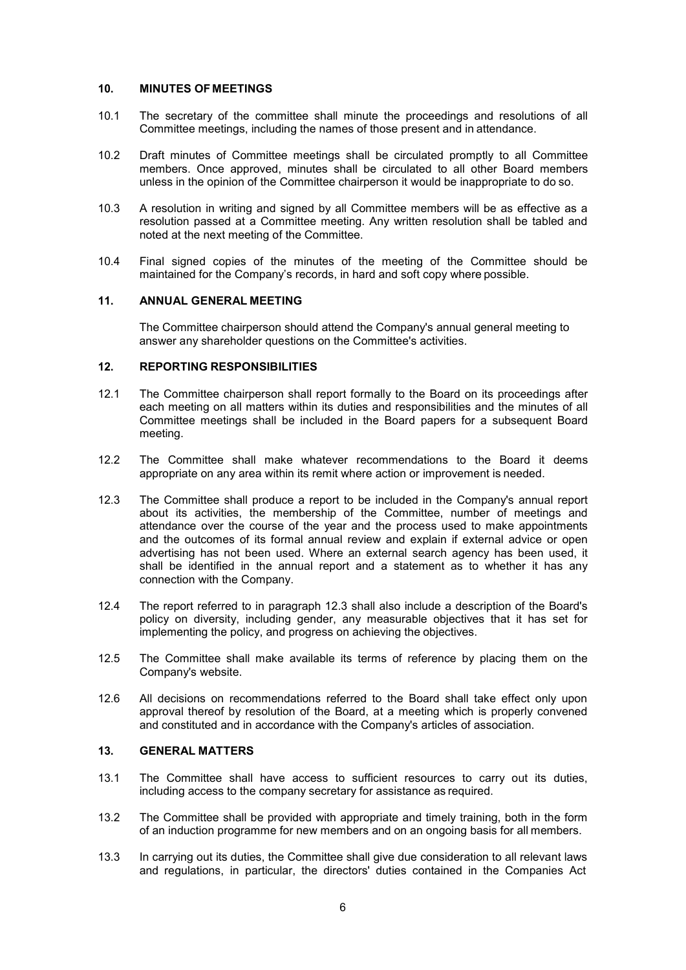### **10. MINUTES OF MEETINGS**

- 10.1 The secretary of the committee shall minute the proceedings and resolutions of all Committee meetings, including the names of those present and in attendance.
- 10.2 Draft minutes of Committee meetings shall be circulated promptly to all Committee members. Once approved, minutes shall be circulated to all other Board members unless in the opinion of the Committee chairperson it would be inappropriate to do so.
- 10.3 A resolution in writing and signed by all Committee members will be as effective as a resolution passed at a Committee meeting. Any written resolution shall be tabled and noted at the next meeting of the Committee.
- 10.4 Final signed copies of the minutes of the meeting of the Committee should be maintained for the Company's records, in hard and soft copy where possible.

#### **11. ANNUAL GENERAL MEETING**

The Committee chairperson should attend the Company's annual general meeting to answer any shareholder questions on the Committee's activities.

# **12. REPORTING RESPONSIBILITIES**

- 12.1 The Committee chairperson shall report formally to the Board on its proceedings after each meeting on all matters within its duties and responsibilities and the minutes of all Committee meetings shall be included in the Board papers for a subsequent Board meeting.
- 12.2 The Committee shall make whatever recommendations to the Board it deems appropriate on any area within its remit where action or improvement is needed.
- 12.3 The Committee shall produce a report to be included in the Company's annual report about its activities, the membership of the Committee, number of meetings and attendance over the course of the year and the process used to make appointments and the outcomes of its formal annual review and explain if external advice or open advertising has not been used. Where an external search agency has been used, it shall be identified in the annual report and a statement as to whether it has any connection with the Company.
- 12.4 The report referred to in paragraph 12.3 shall also include a description of the Board's policy on diversity, including gender, any measurable objectives that it has set for implementing the policy, and progress on achieving the objectives.
- 12.5 The Committee shall make available its terms of reference by placing them on the Company's website.
- 12.6 All decisions on recommendations referred to the Board shall take effect only upon approval thereof by resolution of the Board, at a meeting which is properly convened and constituted and in accordance with the Company's articles of association.

### **13. GENERAL MATTERS**

- 13.1 The Committee shall have access to sufficient resources to carry out its duties, including access to the company secretary for assistance as required.
- 13.2 The Committee shall be provided with appropriate and timely training, both in the form of an induction programme for new members and on an ongoing basis for all members.
- 13.3 In carrying out its duties, the Committee shall give due consideration to all relevant laws and regulations, in particular, the directors' duties contained in the Companies Act